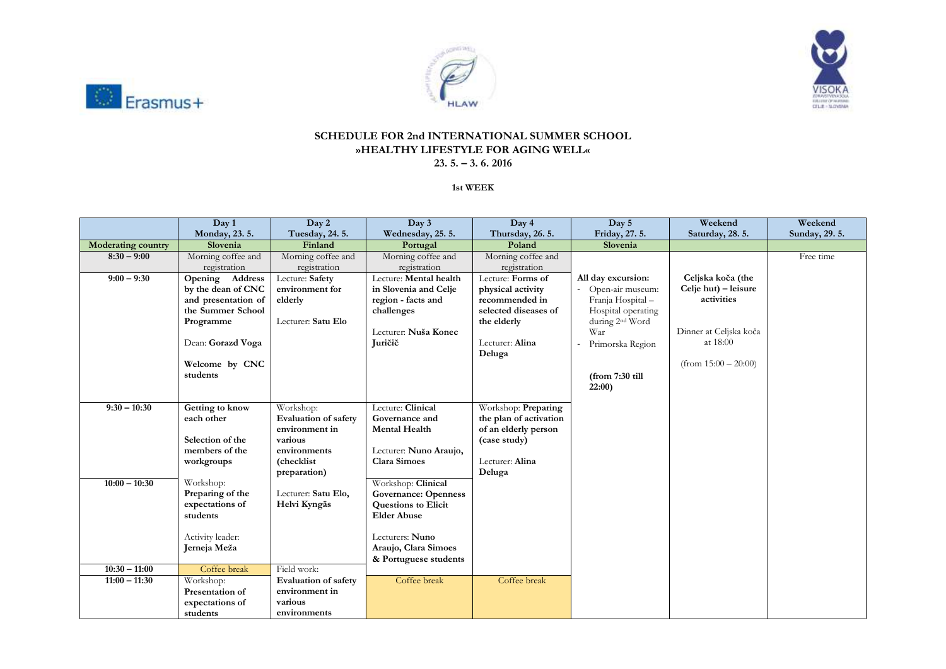





## **SCHEDULE FOR 2nd INTERNATIONAL SUMMER SCHOOL »HEALTHY LIFESTYLE FOR AGING WELL« 23. 5. – 3. 6. 2016**

**1st WEEK**

|                                                      | Day 1                                                                                                                                                        | Day 2                                                                                                                                                 | Day 3                                                                                                                                                                                           | Day 4                                                                                                 | Day 5                       | Weekend                | Weekend        |
|------------------------------------------------------|--------------------------------------------------------------------------------------------------------------------------------------------------------------|-------------------------------------------------------------------------------------------------------------------------------------------------------|-------------------------------------------------------------------------------------------------------------------------------------------------------------------------------------------------|-------------------------------------------------------------------------------------------------------|-----------------------------|------------------------|----------------|
|                                                      | Monday, 23.5.                                                                                                                                                | Tuesday, 24. 5.                                                                                                                                       | Wednesday, 25.5.                                                                                                                                                                                | Thursday, 26.5.                                                                                       | Friday, 27.5.               | Saturday, 28.5.        | Sunday, 29. 5. |
| <b>Moderating country</b>                            | Slovenia                                                                                                                                                     | Finland                                                                                                                                               | Portugal                                                                                                                                                                                        | Poland                                                                                                | Slovenia                    |                        |                |
| $8:30 - 9:00$                                        | Morning coffee and                                                                                                                                           | Morning coffee and                                                                                                                                    | Morning coffee and                                                                                                                                                                              | Morning coffee and                                                                                    |                             |                        | Free time      |
|                                                      | registration                                                                                                                                                 | registration                                                                                                                                          | registration                                                                                                                                                                                    | registration                                                                                          |                             |                        |                |
| $9:00 - 9:30$                                        | Opening Address                                                                                                                                              | Lecture: Safety                                                                                                                                       | Lecture: Mental health                                                                                                                                                                          | Lecture: Forms of                                                                                     | All day excursion:          | Celjska koča (the      |                |
|                                                      | by the dean of CNC                                                                                                                                           | environment for                                                                                                                                       | in Slovenia and Celje                                                                                                                                                                           | physical activity                                                                                     | Open-air museum:            | Celje hut) – leisure   |                |
|                                                      | and presentation of                                                                                                                                          | elderly                                                                                                                                               | region - facts and                                                                                                                                                                              | recommended in                                                                                        | Franja Hospital-            | activities             |                |
|                                                      | the Summer School                                                                                                                                            |                                                                                                                                                       | challenges                                                                                                                                                                                      | selected diseases of                                                                                  | Hospital operating          |                        |                |
|                                                      | Programme                                                                                                                                                    | Lecturer: Satu Elo                                                                                                                                    |                                                                                                                                                                                                 | the elderly                                                                                           | during 2 <sup>nd</sup> Word |                        |                |
|                                                      |                                                                                                                                                              |                                                                                                                                                       | Lecturer: Nuša Konec                                                                                                                                                                            |                                                                                                       | War                         | Dinner at Celjska koča |                |
|                                                      | Dean: Gorazd Voga                                                                                                                                            |                                                                                                                                                       | Juričič                                                                                                                                                                                         | Lecturer: Alina                                                                                       | Primorska Region            | at 18:00               |                |
|                                                      |                                                                                                                                                              |                                                                                                                                                       |                                                                                                                                                                                                 | Deluga                                                                                                |                             | $(from 15:00 - 20:00)$ |                |
|                                                      | Welcome by CNC<br>students                                                                                                                                   |                                                                                                                                                       |                                                                                                                                                                                                 |                                                                                                       |                             |                        |                |
|                                                      |                                                                                                                                                              |                                                                                                                                                       |                                                                                                                                                                                                 |                                                                                                       | (from 7:30 till             |                        |                |
|                                                      |                                                                                                                                                              |                                                                                                                                                       |                                                                                                                                                                                                 |                                                                                                       | 22:00                       |                        |                |
|                                                      |                                                                                                                                                              |                                                                                                                                                       |                                                                                                                                                                                                 |                                                                                                       |                             |                        |                |
|                                                      |                                                                                                                                                              |                                                                                                                                                       |                                                                                                                                                                                                 |                                                                                                       |                             |                        |                |
|                                                      |                                                                                                                                                              |                                                                                                                                                       |                                                                                                                                                                                                 |                                                                                                       |                             |                        |                |
|                                                      | Selection of the                                                                                                                                             | various                                                                                                                                               |                                                                                                                                                                                                 |                                                                                                       |                             |                        |                |
|                                                      | members of the                                                                                                                                               | environments                                                                                                                                          |                                                                                                                                                                                                 |                                                                                                       |                             |                        |                |
|                                                      | workgroups                                                                                                                                                   | (checklist                                                                                                                                            | <b>Clara Simoes</b>                                                                                                                                                                             | Lecturer: Alina                                                                                       |                             |                        |                |
|                                                      |                                                                                                                                                              | preparation)                                                                                                                                          |                                                                                                                                                                                                 | Deluga                                                                                                |                             |                        |                |
| $10:00 - 10:30$                                      | Workshop:                                                                                                                                                    |                                                                                                                                                       | Workshop: Clinical                                                                                                                                                                              |                                                                                                       |                             |                        |                |
|                                                      | Preparing of the                                                                                                                                             | Lecturer: Satu Elo,                                                                                                                                   | <b>Governance: Openness</b>                                                                                                                                                                     |                                                                                                       |                             |                        |                |
|                                                      | expectations of                                                                                                                                              | Helvi Kyngäs                                                                                                                                          | <b>Questions to Elicit</b>                                                                                                                                                                      |                                                                                                       |                             |                        |                |
|                                                      |                                                                                                                                                              |                                                                                                                                                       |                                                                                                                                                                                                 |                                                                                                       |                             |                        |                |
|                                                      |                                                                                                                                                              |                                                                                                                                                       |                                                                                                                                                                                                 |                                                                                                       |                             |                        |                |
|                                                      |                                                                                                                                                              |                                                                                                                                                       |                                                                                                                                                                                                 |                                                                                                       |                             |                        |                |
|                                                      |                                                                                                                                                              |                                                                                                                                                       |                                                                                                                                                                                                 |                                                                                                       |                             |                        |                |
|                                                      |                                                                                                                                                              |                                                                                                                                                       |                                                                                                                                                                                                 |                                                                                                       |                             |                        |                |
|                                                      |                                                                                                                                                              |                                                                                                                                                       |                                                                                                                                                                                                 |                                                                                                       |                             |                        |                |
|                                                      |                                                                                                                                                              |                                                                                                                                                       |                                                                                                                                                                                                 |                                                                                                       |                             |                        |                |
|                                                      |                                                                                                                                                              |                                                                                                                                                       |                                                                                                                                                                                                 |                                                                                                       |                             |                        |                |
|                                                      |                                                                                                                                                              |                                                                                                                                                       |                                                                                                                                                                                                 |                                                                                                       |                             |                        |                |
| $9:30 - 10:30$<br>$10:30 - 11:00$<br>$11:00 - 11:30$ | Getting to know<br>each other<br>students<br>Activity leader:<br>Jerneja Meža<br>Coffee break<br>Workshop:<br>Presentation of<br>expectations of<br>students | Workshop:<br><b>Evaluation of safety</b><br>environment in<br>Field work:<br><b>Evaluation of safety</b><br>environment in<br>various<br>environments | Lecture: Clinical<br>Governance and<br><b>Mental Health</b><br>Lecturer: Nuno Araujo,<br><b>Elder Abuse</b><br>Lecturers: Nuno<br>Araujo, Clara Simoes<br>& Portuguese students<br>Coffee break | Workshop: Preparing<br>the plan of activation<br>of an elderly person<br>(case study)<br>Coffee break |                             |                        |                |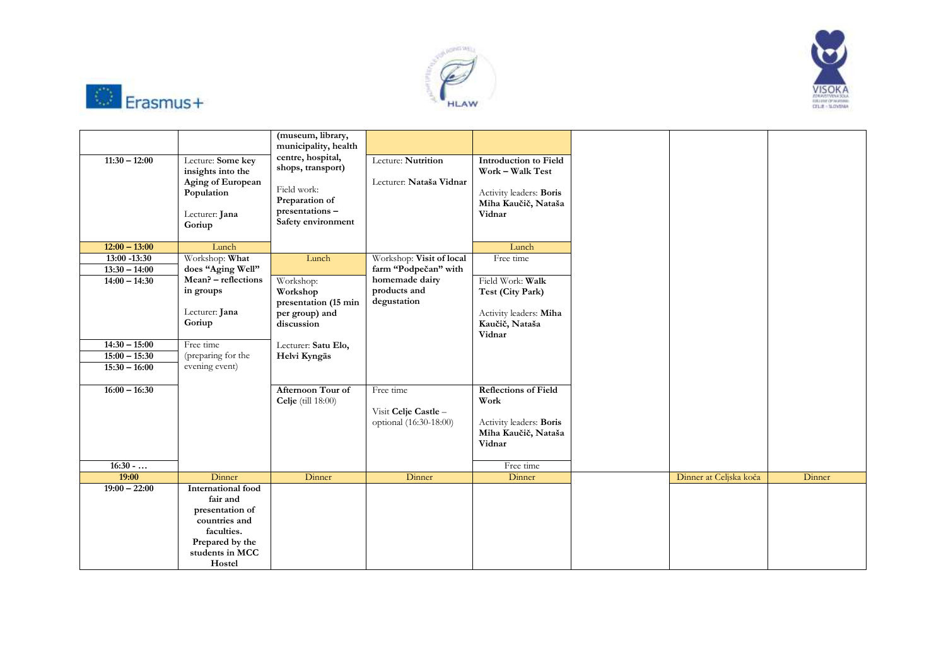





| $11:30 - 12:00$              | Lecture: Some key<br>insights into the<br>Aging of European<br>Population<br>Lecturer: Jana<br>Goriup                                   | (museum, library,<br>municipality, health<br>centre, hospital,<br>shops, transport)<br>Field work:<br>Preparation of<br>presentations-<br>Safety environment | Lecture: Nutrition<br>Lecturer: Nataša Vidnar               | <b>Introduction to Field</b><br>Work - Walk Test<br>Activity leaders: Boris<br>Miha Kaučič, Nataša<br>Vidnar |                        |        |
|------------------------------|-----------------------------------------------------------------------------------------------------------------------------------------|--------------------------------------------------------------------------------------------------------------------------------------------------------------|-------------------------------------------------------------|--------------------------------------------------------------------------------------------------------------|------------------------|--------|
| $12:00 - 13:00$              | Lunch                                                                                                                                   |                                                                                                                                                              |                                                             | Lunch                                                                                                        |                        |        |
| $13:00 - 13:30$              | Workshop: What                                                                                                                          | Lunch                                                                                                                                                        | Workshop: Visit of local                                    | Free time                                                                                                    |                        |        |
| $13:30 - 14:00$              | does "Aging Well"                                                                                                                       |                                                                                                                                                              | farm "Podpečan" with                                        |                                                                                                              |                        |        |
| $14:00 - 14:30$              | Mean? - reflections<br>in groups<br>Lecturer: Jana<br>Goriup                                                                            | Workshop:<br>Workshop<br>presentation (15 min<br>per group) and<br>discussion                                                                                | homemade dairy<br>products and<br>degustation               | Field Work: Walk<br>Test (City Park)<br>Activity leaders: Miha<br>Kaučič, Nataša<br>Vidnar                   |                        |        |
| $14:30 - 15:00$              | Free time                                                                                                                               | Lecturer: Satu Elo,                                                                                                                                          |                                                             |                                                                                                              |                        |        |
| $15:00 - 15:30$              | (preparing for the                                                                                                                      | Helvi Kyngäs                                                                                                                                                 |                                                             |                                                                                                              |                        |        |
| $15:30 - 16:00$              | evening event)                                                                                                                          |                                                                                                                                                              |                                                             |                                                                                                              |                        |        |
| $16:00 - 16:30$<br>$16:30-.$ |                                                                                                                                         | Afternoon Tour of<br><b>Celje</b> (till 18:00)                                                                                                               | Free time<br>Visit Celje Castle -<br>optional (16:30-18:00) | <b>Reflections of Field</b><br>Work<br>Activity leaders: Boris<br>Miha Kaučič, Nataša<br>Vidnar<br>Free time |                        |        |
| 19:00                        | Dinner                                                                                                                                  | Dinner                                                                                                                                                       | Dinner                                                      | Dinner                                                                                                       | Dinner at Celjska koča | Dinner |
| $19:00 - 22:00$              | <b>International</b> food<br>fair and<br>presentation of<br>countries and<br>faculties.<br>Prepared by the<br>students in MCC<br>Hostel |                                                                                                                                                              |                                                             |                                                                                                              |                        |        |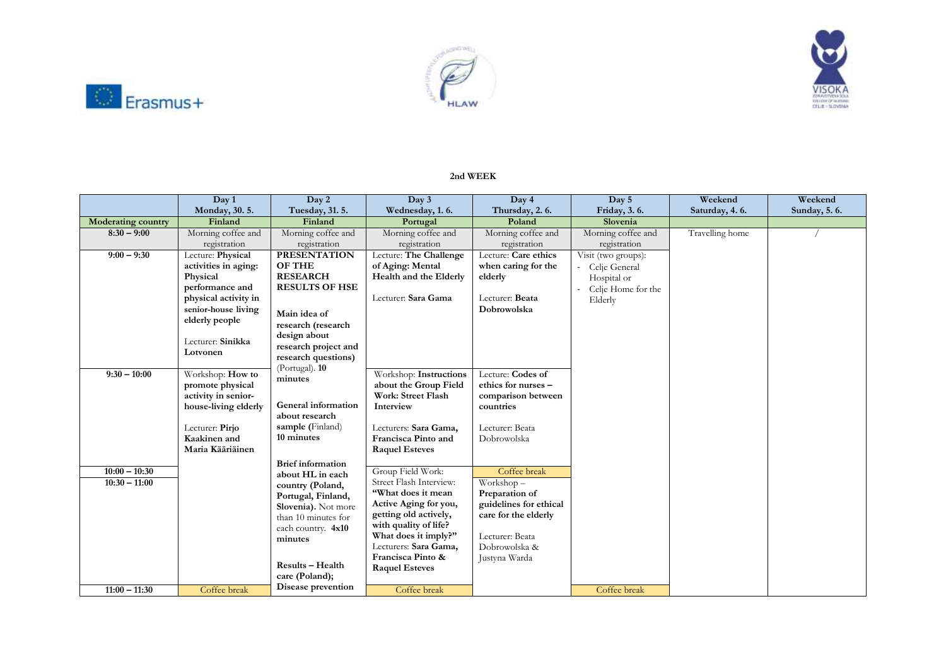





## **2nd WEEK**

|                           | Day 1                                   | Day 2                    | Day 3                                       | Day 4                  | Day 5               | Weekend         | Weekend      |
|---------------------------|-----------------------------------------|--------------------------|---------------------------------------------|------------------------|---------------------|-----------------|--------------|
|                           | Monday, 30.5.                           | Tuesday, 31. 5.          | Wednesday, 1.6.                             | Thursday, 2.6.         | Friday, 3.6.        | Saturday, 4.6.  | Sunday, 5.6. |
| <b>Moderating country</b> | Finland                                 | Finland                  | Portugal                                    | Poland                 | Slovenia            |                 |              |
| $8:30 - 9:00$             | Morning coffee and                      | Morning coffee and       | Morning coffee and                          | Morning coffee and     | Morning coffee and  | Travelling home |              |
|                           | registration                            | registration             | registration                                | registration           | registration        |                 |              |
| $9:00 - 9:30$             | Lecture: Physical                       | <b>PRESENTATION</b>      | Lecture: The Challenge                      | Lecture: Care ethics   | Visit (two groups): |                 |              |
|                           | activities in aging:                    | <b>OF THE</b>            | of Aging: Mental                            | when caring for the    | Celje General       |                 |              |
|                           | Physical                                | <b>RESEARCH</b>          | Health and the Elderly                      | elderly                | Hospital or         |                 |              |
|                           | performance and                         | <b>RESULTS OF HSE</b>    |                                             |                        | Celje Home for the  |                 |              |
|                           | physical activity in                    |                          | Lecturer: Sara Gama                         | Lecturer: Beata        | Elderly             |                 |              |
|                           | senior-house living                     | Main idea of             |                                             | Dobrowolska            |                     |                 |              |
|                           | elderly people                          | research (research       |                                             |                        |                     |                 |              |
|                           |                                         | design about             |                                             |                        |                     |                 |              |
|                           | Lecturer: Sinikka                       | research project and     |                                             |                        |                     |                 |              |
|                           | Lotvonen                                | research questions)      |                                             |                        |                     |                 |              |
| $9:30 - 10:00$            |                                         | (Portugal). 10           |                                             | Lecture: Codes of      |                     |                 |              |
|                           | Workshop: How to                        | minutes                  | Workshop: Instructions                      | ethics for nurses -    |                     |                 |              |
|                           | promote physical<br>activity in senior- |                          | about the Group Field<br>Work: Street Flash | comparison between     |                     |                 |              |
|                           | house-living elderly                    | General information      | Interview                                   | countries              |                     |                 |              |
|                           |                                         | about research           |                                             |                        |                     |                 |              |
|                           | Lecturer: Pirjo                         | sample (Finland)         | Lecturers: Sara Gama,                       | Lecturer: Beata        |                     |                 |              |
|                           | Kaakinen and                            | 10 minutes               | Francisca Pinto and                         | Dobrowolska            |                     |                 |              |
|                           | Maria Kääriäinen                        |                          | <b>Raquel Esteves</b>                       |                        |                     |                 |              |
|                           |                                         | <b>Brief</b> information |                                             |                        |                     |                 |              |
| $10:00 - 10:30$           |                                         | about HL in each         | Group Field Work:                           | Coffee break           |                     |                 |              |
| $10:30 - 11:00$           |                                         | country (Poland,         | Street Flash Interview:                     | Workshop-              |                     |                 |              |
|                           |                                         | Portugal, Finland,       | "What does it mean                          | Preparation of         |                     |                 |              |
|                           |                                         | Slovenia). Not more      | Active Aging for you,                       | guidelines for ethical |                     |                 |              |
|                           |                                         | than 10 minutes for      | getting old actively,                       | care for the elderly   |                     |                 |              |
|                           |                                         | each country. 4x10       | with quality of life?                       |                        |                     |                 |              |
|                           |                                         | minutes                  | What does it imply?"                        | Lecturer: Beata        |                     |                 |              |
|                           |                                         |                          | Lecturers: Sara Gama,                       | Dobrowolska &          |                     |                 |              |
|                           |                                         | <b>Results - Health</b>  | Francisca Pinto &                           | Justyna Warda          |                     |                 |              |
|                           |                                         | care (Poland);           | <b>Raquel Esteves</b>                       |                        |                     |                 |              |
|                           |                                         | Disease prevention       |                                             |                        |                     |                 |              |
| $11:00 - 11:30$           | Coffee break                            |                          | Coffee break                                |                        | Coffee break        |                 |              |